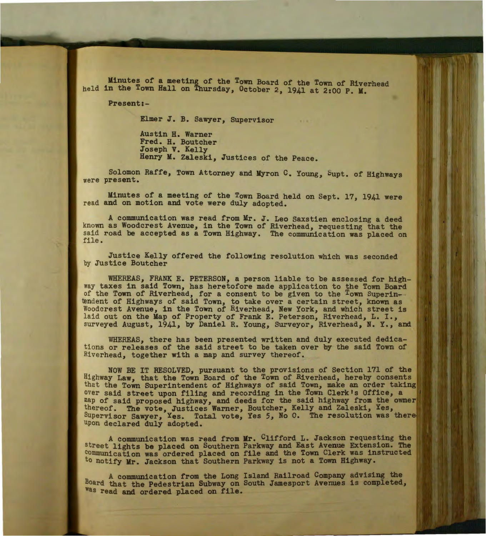Minutes of a meeting of the Town Board of the Town of Riverhead held in the Town Hall on Thursday, October *2,* 1941 at 2:00 P. M.

Present:-

Elmer J. B. Sawyer, Supervisor

Austin H. Warner Fred. H. Boutcher Joseph V. Kelly Henry M. Zaleski, Justices of the Peace.

Solomon Raffe, Town Attorney and Myron C. Young, bupt. of Highways were present.

Minutes of a meeting of the Town Board held on Sept. 17, 1941 were read and on motion and vote were duly adopted.

A communication was read from Mr. J. Leo Saxstien enclosing a deed known as Woodcrest Avenue, in the Town of Riverhead, requesting that the said road be accepted as a Town Highway. The communication was placed on file.

Justice Kelly offered the following resolution which was seconded by Justice Boutcher

WHEREAS, FRANK E. PETERSON, a person liable to be assessed for highway taxes in said Town, has heretofore made application to the Town Board of the Town of Riverhead, for a consent to be given to the Town Superin tendent of Highways of said Town, to take over a certain street, known as Woodcrest Avenue, in the Town of Riverhead, New York, and which street is laid out on the Map of Property of Frank E. Peterson, Riverhead, L. I., surveyed August, 1941, by Daniel R. Young, Surveyor, Riverhead, N. Y., and

WHEREAS, there has been presented written and duly executed dedications or releases of the said street to be taken over by the said Town of Riverhead, together with a map and survey thereof.

NOW BE IT RESOLVED, pursuant to the provisions of Section 171 of the Highway Law, that the Town Board of the Town of Riverhead, hereby consents that the Town Superintendent of Highways of said Town, make an order taking over said street upon filing and recording in the Town Clerk's Office, a map of said proposed highway, and deeds for the said highway from the owner thereof. The vote, Justices Warner, Boutcher, Kelly and Zaleski, Yes, Supervisor Sawyer, Yes. Total vote, Yes 5, No 0. The resolution was the upon declared duly adopted.

A communication was read from Mr. Clifford L. Jackson requesting the street lights be placed on Southern Parkway and East Avenue Extension. The communication was ordered placed on file and the Town Clerk was instructed to notify Mr. Jackson that Southern Parkway is not a Town Highway.

A communication from the Long Island Railroad Company advising the Board that the Pedestrian Subway on South Jamesport Avenues is completed, Was read and ordered placed on file.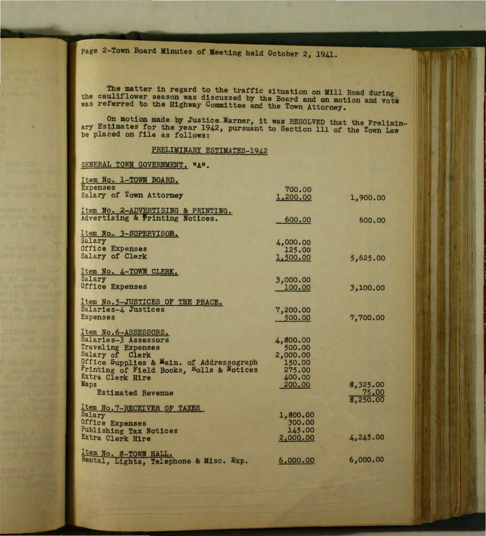page 2-Town Board Minutes of Meeting held October 2, 1941.

The matter in regard to the traffic situation on Mill Road during<br>the cauliflower season was discussed by the Board and on motion and vote was referred to the Highway Committee and the Town Attorney.

On motion made by Justice Warner, it was RESOLVED that the Preliminary Estimates for the year 1942, pursuant to Section 111 of the Town Law be placed on file as follows:

## PRELIMINARY ESTIMATES-1942

GENERAL TOWN GOVERNMENT. "A".

| Item No. 1-TOWN BOARD.                   |          |          |
|------------------------------------------|----------|----------|
| <b>Expenses</b>                          | 700.00   |          |
| Salary of Town Attorney                  | 1,200.00 | 1,900.00 |
|                                          |          |          |
| Item No. 2-ADVERTISING & PRINTING.       |          |          |
| Advertising & Printing Notices.          | 600.00   | 600.00   |
|                                          |          |          |
| Item No. 3-SUPERVISOR.                   |          |          |
| Salary                                   | 4,000.00 |          |
| Office Expenses                          | 125.00   |          |
| Salary of Clerk                          | 1,500.00 | 5,625.00 |
| Item No. 4-TOWN CLERK.                   |          |          |
| Salary                                   | 3,000.00 |          |
| Office Expenses                          | 100.00   | 3,100.00 |
|                                          |          |          |
| Item No.5-JUSTICES OF THE PEACE.         |          |          |
| Salaries-4 Justices                      | 7,200.00 |          |
| <b>Expenses</b>                          | 500.00   | 7,700.00 |
|                                          |          |          |
| Item No.6-ASSESSORS.                     |          |          |
| Salaries-3 Assessors                     | 4,800.00 |          |
| <b>Traveling Expenses</b>                | 500.00   |          |
| Salary of Clerk                          | 2,000.00 |          |
| Office Supplies & Main. of Addressograph | 150.00   |          |
| Printing of Field Books, Rolls & Notices | 275.00   |          |
| Extra Clerk Hire                         | 400.00   |          |
| Maps                                     | 200.00   | 8,325.00 |
| <b>Estimated Revenue</b>                 |          | 75.00    |
|                                          |          | 8,250.00 |
| Item No. 7-RECEIVER OF TAXES             |          |          |
| Salary                                   | 1,800.00 |          |
| Office Expenses                          | 300.00   |          |
| Publishing Tax Notices                   | 145.00   |          |
| Extra Clerk Hire                         | 2,000.00 | 4,245.00 |
|                                          |          |          |
| Item No. 8-TOWN HALL.                    | 6,000.00 | 6,000.00 |
| Rental, Lights, Telephone & Misc. Exp.   |          |          |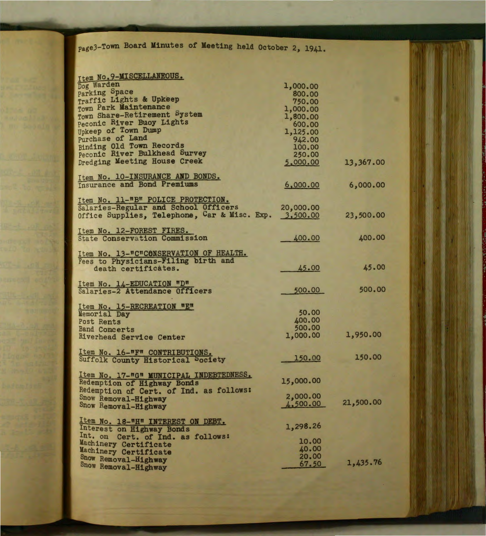page3-Town Board Minutes of Meeting held October 2, 1941•

| Item No. 9-MISCELLANEOUS.                                      |           |           |
|----------------------------------------------------------------|-----------|-----------|
| Dog Warden                                                     | 1,000.00  |           |
| Parking Space                                                  | 800.00    |           |
| Traffic Lights & Upkeep                                        | 750.00    |           |
| Town Park Maintenance                                          | 1,000.00  |           |
| Town Share-Retirement System                                   | 1,800.00  |           |
| Peconic River Buoy Lights                                      | 600.00    |           |
| Upkeep of Town Dump                                            | 1,125.00  |           |
| Purchase of Land                                               | 942.00    |           |
| Binding Old Town Records                                       | 100,00    |           |
| Peconic River Bulkhead Survey                                  | 250.00    |           |
| Dredging Meeting House Creek                                   | 5,000.00  | 13,367.00 |
| Item No. 10-INSURANCE AND BONDS.                               |           |           |
| Insurance and Bond Premiums                                    | 6,000.00  | 6,000.00  |
|                                                                |           |           |
| Item No. 11-"B" POLICE PROTECTION.                             |           |           |
| Salaries-Regular and School Officers                           | 20,000.00 |           |
| Office Supplies, Telephone, Car & Misc. Exp.                   | 3,500.00  | 23,500.00 |
| Item No. 12-FOREST FIRES.                                      |           |           |
| <b>State Conservation Commission</b>                           | 400.00    | 400.00    |
|                                                                |           |           |
| Item No. 13-"C"CONSERVATION OF HEALTH.                         |           |           |
| Fees to Physicians-Filing birth and                            |           |           |
| death certificates.                                            | 45.00     | 45.00     |
|                                                                |           |           |
| Item No. 14-EDUCATION "D"<br>Salaries-2 Attendance Officers    | 500.00    | 500.00    |
|                                                                |           |           |
| Item No. 15-RECREATION "E"                                     |           |           |
| Memorial Day                                                   | 50.00     |           |
| <b>Post Rents</b>                                              | 400.00    |           |
| <b>Band Concerts</b>                                           | 500.00    |           |
| Riverhead Service Center                                       | 1,000.00  | 1,950.00  |
| Item No. 16-"F" CONTRIBUTIONS.                                 |           |           |
| Suffolk County Historical Society                              | 150.00    | 150.00    |
|                                                                |           |           |
| Item No. 17-"G" MUNICIPAL INDEBTEDNESS.                        |           |           |
| Redemption of Highway Bonds                                    | 15,000.00 |           |
| Redemption of Cert. of Ind. as follows:                        |           |           |
| Snow Removal-Highway                                           | 2,000.00  | 21,500.00 |
| Snow Removal-Highway                                           | 4,500.00  |           |
|                                                                |           |           |
| Item No. 18-"H" INTEREST ON DEBT.<br>Interest on Highway Bonds | 1,298.26  |           |
| Int. on Cert. of Ind. as follows:                              |           |           |
| Machinery Certificate                                          | 10.00     |           |
| Machinery Certificate                                          | 40.00     |           |
| Snow Removal-Highway                                           | 20.00     |           |
| Snow Removal-Highway                                           | 67.50     | 1,435.76  |
|                                                                |           |           |

o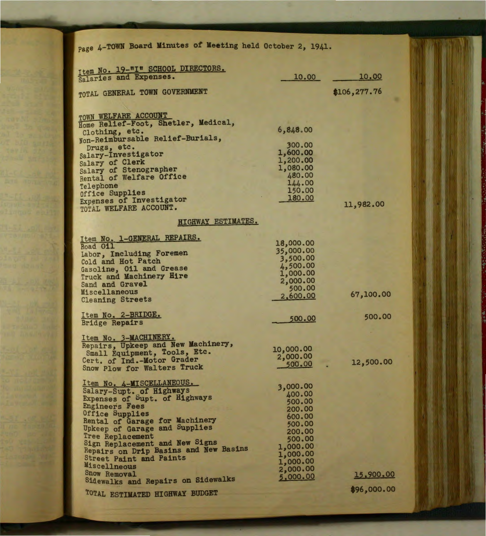| Page 4-TOWN Board Minutes of Meeting held October 2, 1941.  |                       |              |
|-------------------------------------------------------------|-----------------------|--------------|
| Item No. 19-"I" SCHOOL DIRECTORS.                           |                       |              |
| Salaries and Expenses.                                      | 10.00                 | 10.00        |
| TOTAL GENERAL TOWN GOVERNMENT                               |                       | \$106,277.76 |
|                                                             |                       |              |
| TOWN WELFARE ACCOUNT<br>Home Relief-Foot, Shetler, Medical, |                       |              |
| Clothing, etc.                                              | 6,848.00              |              |
| Non-Reimbursable Relief-Burials,                            | 300.00                |              |
| Drugs, etc.<br>Salary-Investigator                          | 1,600.00              |              |
| Salary of Clerk                                             | 1,200.00              |              |
| Salary of Stenographer                                      | 1,080.00              |              |
| Rental of Welfare Office                                    | 480.00<br>144.00      |              |
| Telephone<br>Office Supplies                                | 150.00                |              |
| Expenses of Investigator                                    | 180.00                |              |
| TOTAL WELFARE ACCOUNT.                                      |                       | 11,982.00    |
| <b>HIGHWAY ESTIMATES.</b>                                   |                       |              |
|                                                             |                       |              |
| Item No. 1-GENERAL REPAIRS.<br>Road 011                     | 18,000.00             |              |
| Labor, Including Foremen                                    | 35,000.00             |              |
| Cold and Hot Patch                                          | 3,500.00<br>4,500.00  |              |
| Gasoline, Oil and Grease                                    | 1,000.00              |              |
| Truck and Machinery Hire                                    | 2,000.00              |              |
| Sand and Gravel<br>Miscellaneous                            | 500.00                |              |
| <b>Cleaning Streets</b>                                     | 2,600.00              | 67,100.00    |
| Item No. 2-BRIDGE.                                          |                       | 500.00       |
| <b>Bridge Repairs</b>                                       | 500.00                |              |
| Item No. 3-MACHINERY.                                       |                       |              |
| Repairs, Upkeep and New Machinery,                          |                       |              |
| Small Equipment, Tools, Etc.                                | 10,000.00<br>2,000.00 |              |
| Cert. of Ind. - Motor Grader                                | 500.00                | 12,500.00    |
| Snow Plow for Walters Truck                                 |                       |              |
| Item No. 4-MISCELLANEOUS.                                   | 3,000.00              |              |
| Salary-Supt. of Highways                                    | 400.00                |              |
| Expenses of Supt. of Highways<br><b>Engineers Fees</b>      | 500.00                |              |
| Office Supplies                                             | 200.00                |              |
| Rental of Garage for Machinery                              | 600.00<br>500.00      |              |
| Upkeep of Garage and Supplies                               | 200.00                |              |
| Tree Replacement<br>Sign Replacement and New Signs          | 500,00                |              |
| Repairs on Drip Basins and New Basins                       | 1,000.00              |              |
| <b>Street Paint and Paints</b>                              | 1,000.00<br>1,000.00  |              |
| Miscellneous                                                | 2,000.00              |              |
| Snow Removal<br>Sidewalks and Repairs on Sidewalks          | 5,000.00              | 15,900.00    |
|                                                             |                       | \$96,000.00  |
| TOTAL ESTIMATED HIGHWAY BUDGET                              |                       |              |